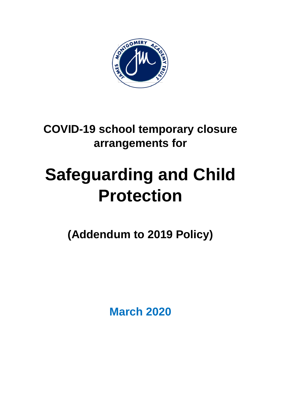

# **COVID-19 school temporary closure arrangements for**

# **Safeguarding and Child Protection**

**(Addendum to 2019 Policy)**

**March 2020**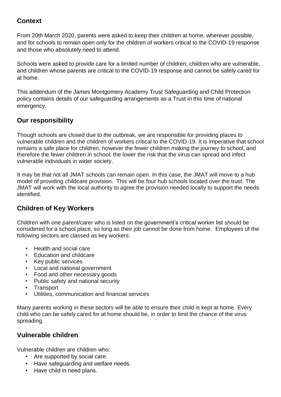# **Context**

From 20th March 2020, parents were asked to keep their children at home, wherever possible, and for schools to remain open only for the children of workers critical to the COVID-19 response and those who absolutely need to attend.

Schools were asked to provide care for a limited number of children; children who are vulnerable, and children whose parents are critical to the COVID-19 response and cannot be safely cared for at home.

This addendum of the James Montgomery Academy Trust Safeguarding and Child Protection policy contains details of our safeguarding arrangements as a Trust in this time of national emergency.

#### **Our responsibility**

Though schools are closed due to the outbreak, we are responsible for providing places to vulnerable children and the children of workers critical to the COVID-19. It is imperative that school remains a safe place for children, however the fewer children making the journey to school, and therefore the fewer children in school, the lower the risk that the virus can spread and infect vulnerable individuals in wider society.

It may be that not all JMAT schools can remain open. In this case, the JMAT will move to a hub model of providing childcare provision. This will be four hub schools located over the trust. The JMAT will work with the local authority to agree the provision needed locally to support the needs identified.

### **Children of Key Workers**

Children with one parent/carer who is listed on the [government's](https://www.gov.uk/government/publications/coronavirus-covid-19-maintaining-educational-provision/guidance-for-schools-colleges-and-local-authorities-on-maintaining-educational-provision) critical worker list should be considered for a school place, so long as their job cannot be done from home. Employees of the following sectors are classed as key workers:

- Health and social care
- Education and childcare
- Key public services
- Local and national government
- Food and other necessary goods
- Public safety and national security
- **Transport**
- Utilities, communication and financial services

Many parents working in these sectors will be able to ensure their child is kept at home. Every child who can be safely cared for at home should be, in order to limit the chance of the virus spreading.

#### **Vulnerable children**

Vulnerable children are children who:

- Are supported by social care.
- Have safeguarding and welfare needs.
- Have child in need plans.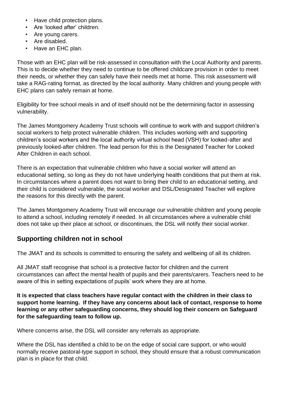- Have child protection plans.
- Are 'looked after' children.
- Are young carers.
- Are disabled.
- Have an EHC plan.

Those with an EHC plan will be risk-assessed in consultation with the Local Authority and parents. This is to decide whether they need to continue to be offered childcare provision in order to meet their needs, or whether they can safely have their needs met at home. This risk assessment will take a RAG-rating format, as directed by the local authority. Many children and young people with EHC plans can safely remain at home.

Eligibility for free school meals in and of itself should not be the determining factor in assessing vulnerability.

The James Montgomery Academy Trust schools will continue to work with and support children's social workers to help protect vulnerable children. This includes working with and supporting children's social workers and the local authority virtual school head (VSH) for looked-after and previously looked-after children. The lead person for this is the Designated Teacher for Looked After Children in each school.

There is an expectation that vulnerable children who have a social worker will attend an educational setting, so long as they do not have underlying health conditions that put them at risk. In circumstances where a parent does not want to bring their child to an educational setting, and their child is considered vulnerable, the social worker and DSL/Designated Teacher will explore the reasons for this directly with the parent.

The James Montgomery Academy Trust will encourage our vulnerable children and young people to attend a school, including remotely if needed. In all circumstances where a vulnerable child does not take up their place at school, or discontinues, the DSL will notify their social worker.

# **Supporting children not in school**

The JMAT and its schools is committed to ensuring the safety and wellbeing of all its children.

All JMAT staff recognise that school is a protective factor for children and the current circumstances can affect the mental health of pupils and their parents/carers. Teachers need to be aware of this in setting expectations of pupils' work where they are at home.

**It is expected that class teachers have regular contact with the children in their class to support home learning. If they have any concerns about lack of contact, response to home learning or any other safeguarding concerns, they should log their concern on Safeguard for the safeguarding team to follow up.** 

Where concerns arise, the DSL will consider any referrals as appropriate.

Where the DSL has identified a child to be on the edge of social care support, or who would normally receive pastoral-type support in school, they should ensure that a robust communication plan is in place for that child.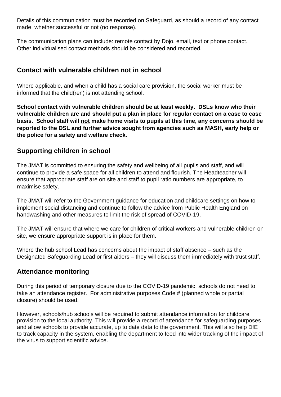Details of this communication must be recorded on Safeguard, as should a record of any contact made, whether successful or not (no response).

The communication plans can include: remote contact by Dojo, email, text or phone contact. Other individualised contact methods should be considered and recorded.

### **Contact with vulnerable children not in school**

Where applicable, and when a child has a social care provision, the social worker must be informed that the child(ren) is not attending school.

**School contact with vulnerable children should be at least weekly. DSLs know who their vulnerable children are and should put a plan in place for regular contact on a case to case basis. School staff will not make home visits to pupils at this time, any concerns should be reported to the DSL and further advice sought from agencies such as MASH, early help or the police for a safety and welfare check.**

# **Supporting children in school**

The JMAT is committed to ensuring the safety and wellbeing of all pupils and staff, and will continue to provide a safe space for all children to attend and flourish. The Headteacher will ensure that appropriate staff are on site and staff to pupil ratio numbers are appropriate, to maximise safety.

The JMAT will refer to the Government guidance for education and childcare settings on how to implement social distancing and continue to follow the advice from Public Health England on handwashing and other measures to limit the risk of spread of COVID-19.

The JMAT will ensure that where we care for children of critical workers and vulnerable children on site, we ensure appropriate support is in place for them.

Where the hub school Lead has concerns about the impact of staff absence – such as the Designated Safeguarding Lead or first aiders – they will discuss them immediately with trust staff.

### **Attendance monitoring**

During this period of temporary closure due to the COVID-19 pandemic, schools do not need to take an attendance register. For administrative purposes Code # (planned whole or partial closure) should be used.

However, schools/hub schools will be required to submit attendance information for childcare provision to the local authority. This will provide a record of attendance for safeguarding purposes and allow schools to provide accurate, up to date data to the government. This will also help DfE to track capacity in the system, enabling the department to feed into wider tracking of the impact of the virus to support scientific advice.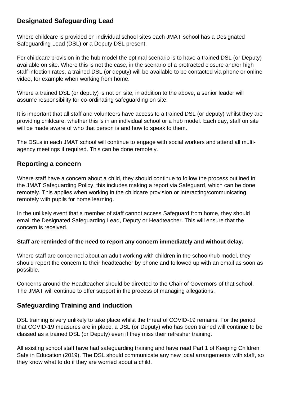# **Designated Safeguarding Lead**

Where childcare is provided on individual school sites each JMAT school has a Designated Safeguarding Lead (DSL) or a Deputy DSL present.

For childcare provision in the hub model the optimal scenario is to have a trained DSL (or Deputy) available on site. Where this is not the case, in the scenario of a protracted closure and/or high staff infection rates, a trained DSL (or deputy) will be available to be contacted via phone or online video, for example when working from home.

Where a trained DSL (or deputy) is not on site, in addition to the above, a senior leader will assume responsibility for co-ordinating safeguarding on site.

It is important that all staff and volunteers have access to a trained DSL (or deputy) whilst they are providing childcare, whether this is in an individual school or a hub model. Each day, staff on site will be made aware of who that person is and how to speak to them.

The DSLs in each JMAT school will continue to engage with social workers and attend all multiagency meetings if required. This can be done remotely.

### **Reporting a concern**

Where staff have a concern about a child, they should continue to follow the process outlined in the JMAT Safeguarding Policy, this includes making a report via Safeguard, which can be done remotely. This applies when working in the childcare provision or interacting/communicating remotely with pupils for home learning.

In the unlikely event that a member of staff cannot access Safeguard from home, they should email the Designated Safeguarding Lead, Deputy or Headteacher. This will ensure that the concern is received.

#### **Staff are reminded of the need to report any concern immediately and without delay.**

Where staff are concerned about an adult working with children in the school/hub model, they should report the concern to their headteacher by phone and followed up with an email as soon as possible.

Concerns around the Headteacher should be directed to the Chair of Governors of that school. The JMAT will continue to offer support in the process of managing allegations.

# **Safeguarding Training and induction**

DSL training is very unlikely to take place whilst the threat of COVID-19 remains. For the period that COVID-19 measures are in place, a DSL (or Deputy) who has been trained will continue to be classed as a trained DSL (or Deputy) even if they miss their refresher training.

All existing school staff have had safeguarding training and have read Part 1 of Keeping Children Safe in Education (2019). The DSL should communicate any new local arrangements with staff, so they know what to do if they are worried about a child.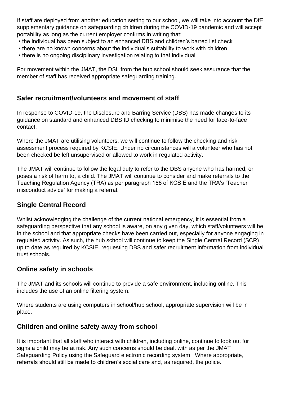If staff are deployed from another education setting to our school, we will take into account the DfE supplementary guidance on safeguarding children during the COVID-19 pandemic and will accept portability as long as the current employer confirms in writing that:

- the individual has been subject to an enhanced DBS and children's barred list check
- there are no known concerns about the individual's suitability to work with children
- there is no ongoing disciplinary investigation relating to that individual

For movement within the JMAT, the DSL from the hub school should seek assurance that the member of staff has received appropriate safeguarding training.

#### **Safer recruitment/volunteers and movement of staff**

In response to COVID-19, the Disclosure and Barring Service (DBS) has made changes to its guidance on standard and enhanced DBS ID checking to minimise the need for face-to-face contact.

Where the JMAT are utilising volunteers, we will continue to follow the checking and risk assessment process required by KCSIE. Under no circumstances will a volunteer who has not been checked be left unsupervised or allowed to work in regulated activity.

The JMAT will continue to follow the legal duty to refer to the DBS anyone who has harmed, or poses a risk of harm to, a child. The JMAT will continue to consider and make referrals to the Teaching Regulation Agency (TRA) as per paragraph 166 of KCSIE and the TRA's 'Teacher misconduct advice' for making a referral.

# **Single Central Record**

Whilst acknowledging the challenge of the current national emergency, it is essential from a safeguarding perspective that any school is aware, on any given day, which staff/volunteers will be in the school and that appropriate checks have been carried out, especially for anyone engaging in regulated activity. As such, the hub school will continue to keep the Single Central Record (SCR) up to date as required by KCSIE, requesting DBS and safer recruitment information from individual trust schools.

### **Online safety in schools**

The JMAT and its schools will continue to provide a safe environment, including online. This includes the use of an online filtering system.

Where students are using computers in school/hub school, appropriate supervision will be in place.

### **Children and online safety away from school**

It is important that all staff who interact with children, including online, continue to look out for signs a child may be at risk. Any such concerns should be dealt with as per the JMAT Safeguarding Policy using the Safeguard electronic recording system. Where appropriate, referrals should still be made to children's social care and, as required, the police.